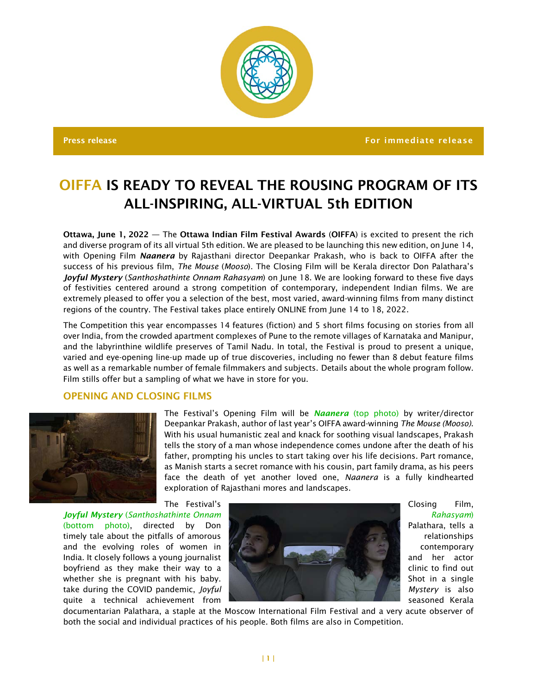

Press release For immediate release For immediate release  $\sim$  For immediate release

# OIFFA IS READY TO REVEAL THE ROUSING PROGRAM OF ITS ALL-INSPIRING, ALL-VIRTUAL 5th EDITION

Ottawa, June 1, 2022 — The Ottawa Indian Film Festival Awards (OIFFA) is excited to present the rich and diverse program of its all virtual 5th edition. We are pleased to be launching this new edition, on June 14, with Opening Film *Naanera* by Rajasthani director Deepankar Prakash, who is back to OIFFA after the success of his previous film, *The Mouse* (*Mooso*). The Closing Film will be Kerala director Don Palathara's *Joyful Mystery* (*Santhoshathinte Onnam Rahasyam*) on June 18. We are looking forward to these five days of festivities centered around a strong competition of contemporary, independent Indian films. We are extremely pleased to offer you a selection of the best, most varied, award-winning films from many distinct regions of the country. The Festival takes place entirely ONLINE from June 14 to 18, 2022.

The Competition this year encompasses 14 features (fiction) and 5 short films focusing on stories from all over India, from the crowded apartment complexes of Pune to the remote villages of Karnataka and Manipur, and the labyrinthine wildlife preserves of Tamil Nadu. In total, the Festival is proud to present a unique, varied and eye-opening line-up made up of true discoveries, including no fewer than 8 debut feature films as well as a remarkable number of female filmmakers and subjects. Details about the whole program follow. Film stills offer but a sampling of what we have in store for you.

## OPENING AND CLOSING FILMS



The Festival's Opening Film will be *Naanera* (top photo) by writer/director Deepankar Prakash, author of last year's OIFFA award-winning *The Mouse (Mooso)*. With his usual humanistic zeal and knack for soothing visual landscapes, Prakash tells the story of a man whose independence comes undone after the death of his father, prompting his uncles to start taking over his life decisions. Part romance, as Manish starts a secret romance with his cousin, part family drama, as his peers face the death of yet another loved one, *Naanera* is a fully kindhearted exploration of Rajasthani mores and landscapes.



documentarian Palathara, a staple at the Moscow International Film Festival and a very acute observer of both the social and individual practices of his people. Both films are also in Competition.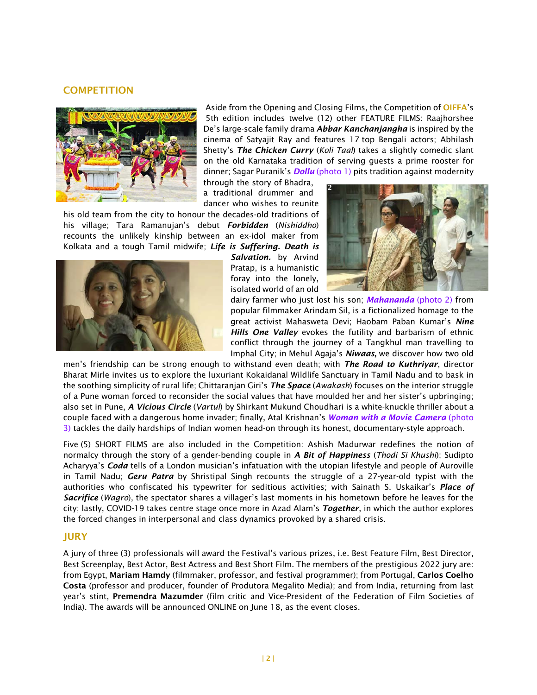### **COMPETITION**



Aside from the Opening and Closing Films, the Competition of OIFFA's 5th edition includes twelve (12) other FEATURE FILMS: Raajhorshee De's large-scale family drama *Abbar Kanchanjangha* is inspired by the cinema of Satyajit Ray and features 17 top Bengali actors; Abhilash Shetty's *The Chicken Curry* (*Koli Taal*) takes a slightly comedic slant on the old Karnataka tradition of serving guests a prime rooster for dinner; Sagar Puranik's *Dollu* (photo 1) pits tradition against modernity

through the story of Bhadra, a traditional drummer and dancer who wishes to reunite

his old team from the city to honour the decades-old traditions of his village; Tara Ramanujan's debut *Forbidden* (*Nishiddho*) recounts the unlikely kinship between an ex-idol maker from Kolkata and a tough Tamil midwife; *Life is Suffering. Death is* 



*Salvation.* by Arvind Pratap, is a humanistic foray into the lonely, isolated world of an old



dairy farmer who just lost his son; *Mahananda* (photo 2) from popular filmmaker Arindam Sil, is a fictionalized homage to the great activist Mahasweta Devi; Haobam Paban Kumar's *Nine Hills One Valley* evokes the futility and barbarism of ethnic conflict through the journey of a Tangkhul man travelling to Imphal City; in Mehul Agaja's *Niwaas*, we discover how two old

men's friendship can be strong enough to withstand even death; with *The Road to Kuthriyar*, director Bharat Mirle invites us to explore the luxuriant Kokaidanal Wildlife Sanctuary in Tamil Nadu and to bask in the soothing simplicity of rural life; Chittaranjan Giri's *The Space* (*Awakash*) focuses on the interior struggle of a Pune woman forced to reconsider the social values that have moulded her and her sister's upbringing; also set in Pune, *A Vicious Circle* (*Vartul*) by Shirkant Mukund Choudhari is a white-knuckle thriller about a couple faced with a dangerous home invader; finally, Atal Krishnan's *Woman with a Movie Camera* (photo 3) tackles the daily hardships of Indian women head-on through its honest, documentary-style approach.

Five (5) SHORT FILMS are also included in the Competition: Ashish Madurwar redefines the notion of normalcy through the story of a gender-bending couple in *A Bit of Happiness* (*Thodi Si Khushi*); Sudipto Acharyya's *Coda* tells of a London musician's infatuation with the utopian lifestyle and people of Auroville in Tamil Nadu; *Geru Patra* by Shristipal Singh recounts the struggle of a 27-year-old typist with the authorities who confiscated his typewriter for seditious activities; with Sainath S. Uskaikar's *Place of Sacrifice* (*Wagro*), the spectator shares a villager's last moments in his hometown before he leaves for the city; lastly, COVID-19 takes centre stage once more in Azad Alam's *Together*, in which the author explores the forced changes in interpersonal and class dynamics provoked by a shared crisis.

#### JURY

A jury of three (3) professionals will award the Festival's various prizes, i.e. Best Feature Film, Best Director, Best Screenplay, Best Actor, Best Actress and Best Short Film. The members of the prestigious 2022 jury are: from Egypt, Mariam Hamdy (filmmaker, professor, and festival programmer); from Portugal, Carlos Coelho Costa (professor and producer, founder of Produtora Megalito Media); and from India, returning from last year's stint, Premendra Mazumder (film critic and Vice-President of the Federation of Film Societies of India). The awards will be announced ONLINE on June 18, as the event closes.